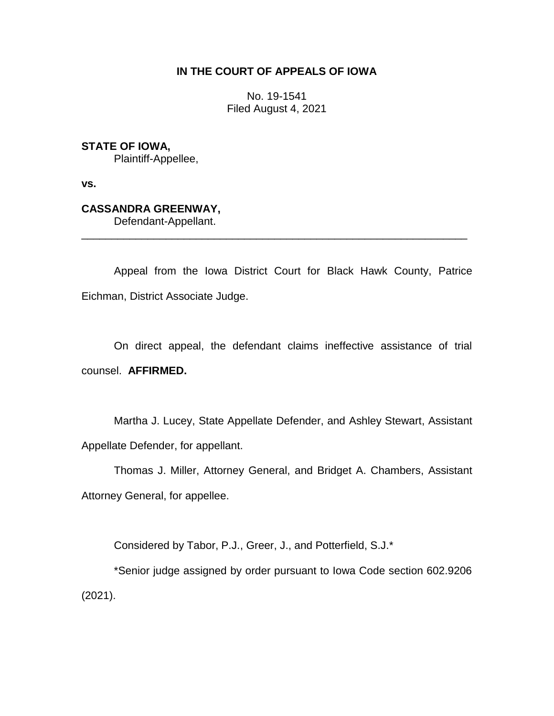## **IN THE COURT OF APPEALS OF IOWA**

No. 19-1541 Filed August 4, 2021

**STATE OF IOWA,**

Plaintiff-Appellee,

**vs.**

## **CASSANDRA GREENWAY,**

Defendant-Appellant.

Appeal from the Iowa District Court for Black Hawk County, Patrice Eichman, District Associate Judge.

\_\_\_\_\_\_\_\_\_\_\_\_\_\_\_\_\_\_\_\_\_\_\_\_\_\_\_\_\_\_\_\_\_\_\_\_\_\_\_\_\_\_\_\_\_\_\_\_\_\_\_\_\_\_\_\_\_\_\_\_\_\_\_\_

On direct appeal, the defendant claims ineffective assistance of trial counsel. **AFFIRMED.**

Martha J. Lucey, State Appellate Defender, and Ashley Stewart, Assistant Appellate Defender, for appellant.

Thomas J. Miller, Attorney General, and Bridget A. Chambers, Assistant Attorney General, for appellee.

Considered by Tabor, P.J., Greer, J., and Potterfield, S.J.\*

\*Senior judge assigned by order pursuant to Iowa Code section 602.9206 (2021).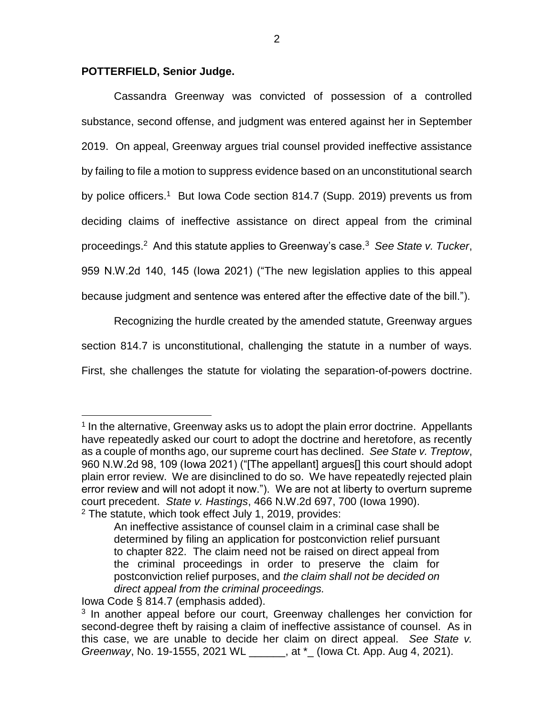## **POTTERFIELD, Senior Judge.**

Cassandra Greenway was convicted of possession of a controlled substance, second offense, and judgment was entered against her in September 2019. On appeal, Greenway argues trial counsel provided ineffective assistance by failing to file a motion to suppress evidence based on an unconstitutional search by police officers.<sup>1</sup> But Iowa Code section 814.7 (Supp. 2019) prevents us from deciding claims of ineffective assistance on direct appeal from the criminal proceedings.<sup>2</sup> And this statute applies to Greenway's case.<sup>3</sup> *See State v. Tucker*, 959 N.W.2d 140, 145 (Iowa 2021) ("The new legislation applies to this appeal because judgment and sentence was entered after the effective date of the bill.").

Recognizing the hurdle created by the amended statute, Greenway argues section 814.7 is unconstitutional, challenging the statute in a number of ways. First, she challenges the statute for violating the separation-of-powers doctrine.

 $\overline{a}$ 

<sup>&</sup>lt;sup>1</sup> In the alternative, Greenway asks us to adopt the plain error doctrine. Appellants have repeatedly asked our court to adopt the doctrine and heretofore, as recently as a couple of months ago, our supreme court has declined. *See State v. Treptow*, 960 N.W.2d 98, 109 (Iowa 2021) ("[The appellant] argues[] this court should adopt plain error review. We are disinclined to do so. We have repeatedly rejected plain error review and will not adopt it now."). We are not at liberty to overturn supreme court precedent. *State v. Hastings*, 466 N.W.2d 697, 700 (Iowa 1990).

 $2$  The statute, which took effect July 1, 2019, provides:

An ineffective assistance of counsel claim in a criminal case shall be determined by filing an application for postconviction relief pursuant to chapter 822. The claim need not be raised on direct appeal from the criminal proceedings in order to preserve the claim for postconviction relief purposes, and *the claim shall not be decided on direct appeal from the criminal proceedings.*

Iowa Code § 814.7 (emphasis added).

<sup>&</sup>lt;sup>3</sup> In another appeal before our court, Greenway challenges her conviction for second-degree theft by raising a claim of ineffective assistance of counsel. As in this case, we are unable to decide her claim on direct appeal. *See State v. Greenway*, No. 19-1555, 2021 WL \_\_\_\_\_\_, at \*\_ (Iowa Ct. App. Aug 4, 2021).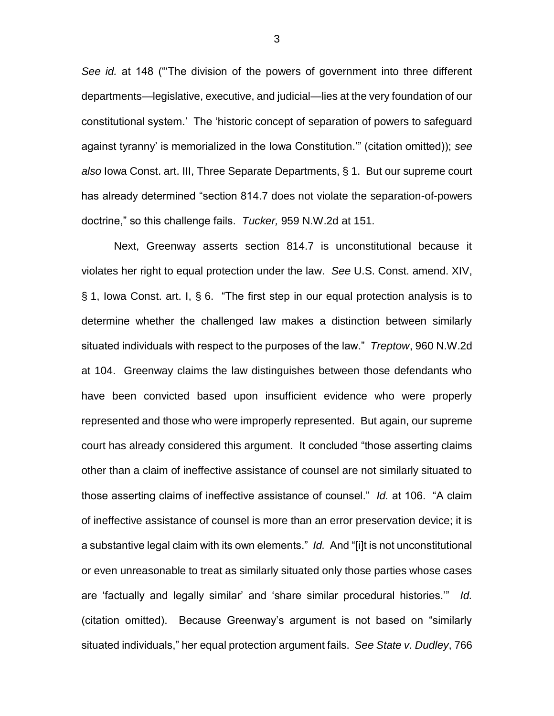*See id.* at 148 ("'The division of the powers of government into three different departments—legislative, executive, and judicial—lies at the very foundation of our constitutional system.' The 'historic concept of separation of powers to safeguard against tyranny' is memorialized in the Iowa Constitution.'" (citation omitted)); *see also* Iowa Const. art. III, Three Separate Departments, § 1. But our supreme court has already determined "section 814.7 does not violate the separation-of-powers doctrine," so this challenge fails. *Tucker,* 959 N.W.2d at 151.

Next, Greenway asserts section 814.7 is unconstitutional because it violates her right to equal protection under the law. *See* U.S. Const. amend. XIV, § 1, Iowa Const. art. I, § 6. "The first step in our equal protection analysis is to determine whether the challenged law makes a distinction between similarly situated individuals with respect to the purposes of the law." *Treptow*, 960 N.W.2d at 104. Greenway claims the law distinguishes between those defendants who have been convicted based upon insufficient evidence who were properly represented and those who were improperly represented. But again, our supreme court has already considered this argument. It concluded "those asserting claims other than a claim of ineffective assistance of counsel are not similarly situated to those asserting claims of ineffective assistance of counsel." *Id.* at 106. "A claim of ineffective assistance of counsel is more than an error preservation device; it is a substantive legal claim with its own elements." *Id.* And "[i]t is not unconstitutional or even unreasonable to treat as similarly situated only those parties whose cases are 'factually and legally similar' and 'share similar procedural histories.'" *Id.*  (citation omitted). Because Greenway's argument is not based on "similarly situated individuals," her equal protection argument fails. *See State v. Dudley*, 766